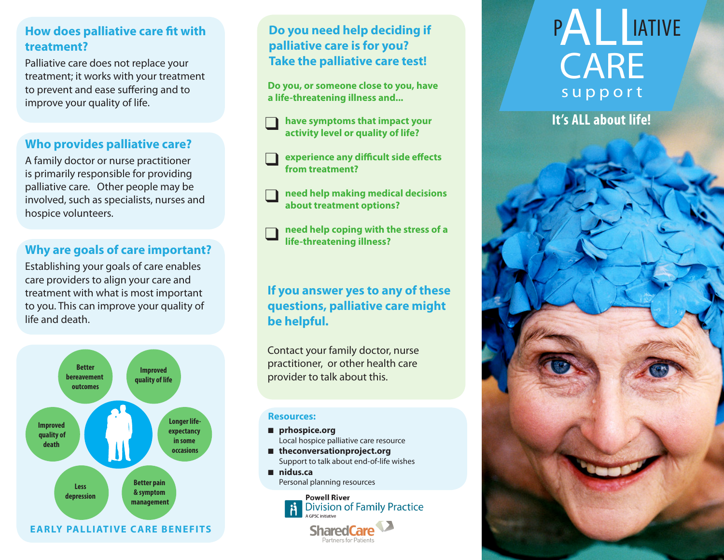#### **How does palliative care fit with treatment?**

Palliative care does not replace your treatment; it works with your treatment to prevent and ease suffering and to improve your quality of life.

#### **Who provides palliative care?**

A family doctor or nurse practitioner is primarily responsible for providing palliative care. Other people may be involved, such as specialists, nurses and hospice volunteers.

#### **Why are goals of care important?**

Establishing your goals of care enables care providers to align your care and treatment with what is most important to you. This can improve your quality of life and death.



#### **Do you need help deciding if palliative care is for you? Take the palliative care test!**

**Do you, or someone close to you, have a life-threatening illness and...**

- **have symptoms that impact your It's ALL about life! activity level or quality of life?**
- **experience any difficult side effects from treatment?**
- **need help making medical decisions about treatment options?**  ❑❑❑❑
- **need help coping with the stress of a life-threatening illness?**

### **If you answer yes to any of these questions, palliative care might be helpful.**

Contact your family doctor, nurse practitioner, or other health care Improved<br> **Institute** of life **intervals** *Improvider to talk about this.* 

#### **Resources:**

- prhospice.org Local hospice palliative care resource
- theconversationproject.org Support to talk about end-of-life wishes

Partners for Patients

n **nidus.ca** Personal planning resources



# P **ALLETIVE** CARE support